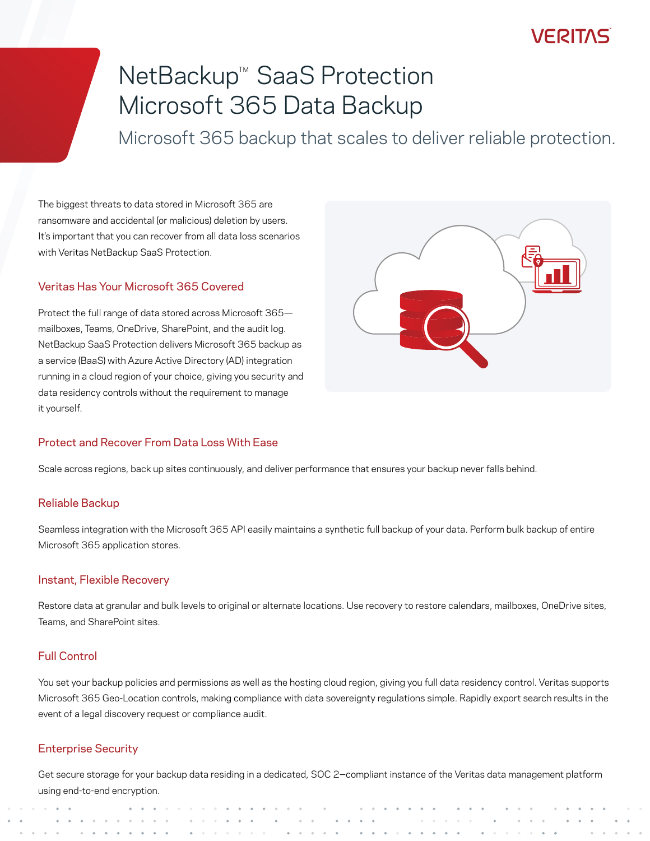# **VERIJKS**

# NetBackup<sup>™</sup> SaaS Protection Microsoft 365 Data Backup

Microsoft 365 backup that scales to deliver reliable protection.

The biggest threats to data stored in Microsoft 365 are ransomware and accidental (or malicious) deletion by users. It's important that you can recover from all data loss scenarios with Veritas NetBackup SaaS Protection.

#### Veritas Has Your Microsoft 365 Covered

Protect the full range of data stored across Microsoft 365 mailboxes, Teams, OneDrive, SharePoint, and the audit log. NetBackup SaaS Protection delivers Microsoft 365 backup as a service (BaaS) with Azure Active Directory (AD) integration running in a cloud region of your choice, giving you security and data residency controls without the requirement to manage it yourself.





Scale across regions, back up sites continuously, and deliver performance that ensures your backup never falls behind.

#### Reliable Backup

Seamless integration with the Microsoft 365 API easily maintains a synthetic full backup of your data. Perform bulk backup of entire Microsoft 365 application stores.

#### Instant, Flexible Recovery

Restore data at granular and bulk levels to original or alternate locations. Use recovery to restore calendars, mailboxes, OneDrive sites, Teams, and SharePoint sites.

#### Full Control

You set your backup policies and permissions as well as the hosting cloud region, giving you full data residency control. Veritas supports Microsoft 365 Geo-Location controls, making compliance with data sovereignty regulations simple. Rapidly export search results in the event of a legal discovery request or compliance audit.

## Enterprise Security

Get secure storage for your backup data residing in a dedicated, SOC 2-compliant instance of the Veritas data management platform using end-to-end encryption.